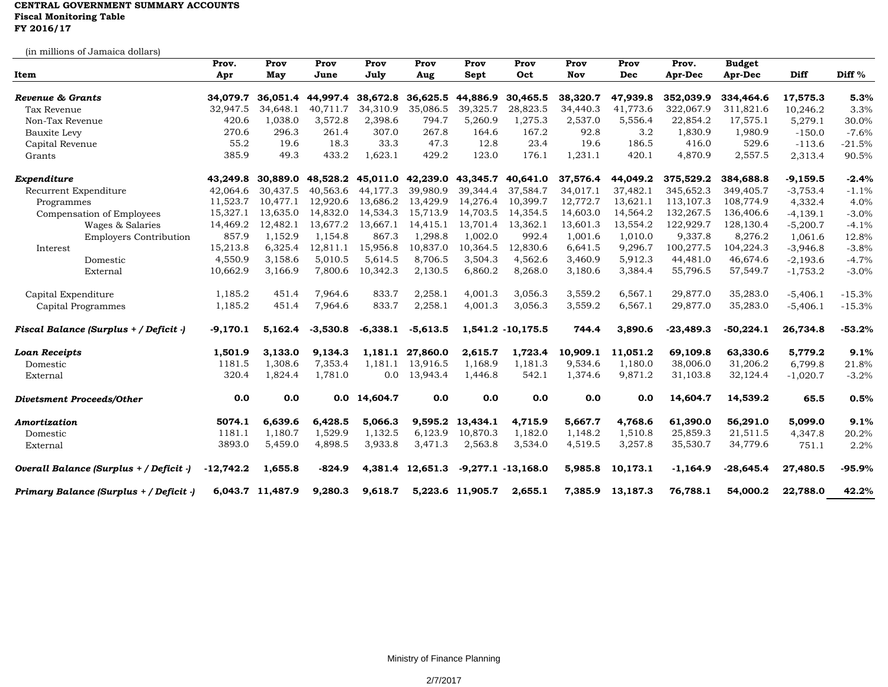## **CENTRAL GOVERNMENT SUMMARY ACCOUNTS Fiscal Monitoring Table FY 2016/17**

(in millions of Jamaica dollars)

| uli illilliolis ol Jallialca dollarsj<br>Item | Prov.<br>Apr | Prov<br>May      | Prov<br>June | Prov<br>July | Prov<br>Aug      | Prov<br>Sept     | Prov<br>Oct                                  | Prov<br>Nov | Prov<br>Dec | Prov.<br>Apr-Dec | <b>Budget</b><br>Apr-Dec | <b>Diff</b> | Diff <sup>%</sup> |
|-----------------------------------------------|--------------|------------------|--------------|--------------|------------------|------------------|----------------------------------------------|-------------|-------------|------------------|--------------------------|-------------|-------------------|
| Revenue & Grants                              | 34,079.7     | 36,051.4         | 44,997.4     | 38,672.8     | 36,625.5         | 44,886.9         | 30,465.5                                     | 38,320.7    | 47,939.8    | 352,039.9        | 334,464.6                | 17,575.3    | 5.3%              |
| Tax Revenue                                   | 32,947.5     | 34,648.1         | 40,711.7     | 34,310.9     | 35,086.5         | 39,325.7         | 28,823.5                                     | 34,440.3    | 41,773.6    | 322,067.9        | 311,821.6                | 10,246.2    | 3.3%              |
| Non-Tax Revenue                               | 420.6        | 1,038.0          | 3,572.8      | 2,398.6      | 794.7            | 5,260.9          | 1,275.3                                      | 2,537.0     | 5,556.4     | 22,854.2         | 17,575.1                 | 5,279.1     | 30.0%             |
| Bauxite Levy                                  | 270.6        | 296.3            | 261.4        | 307.0        | 267.8            | 164.6            | 167.2                                        | 92.8        | 3.2         | 1,830.9          | 1,980.9                  | $-150.0$    | $-7.6%$           |
| Capital Revenue                               | 55.2         | 19.6             | 18.3         | 33.3         | 47.3             | 12.8             | 23.4                                         | 19.6        | 186.5       | 416.0            | 529.6                    | $-113.6$    | $-21.5%$          |
| Grants                                        | 385.9        | 49.3             | 433.2        | 1,623.1      | 429.2            | 123.0            | 176.1                                        | 1,231.1     | 420.1       | 4,870.9          | 2,557.5                  | 2,313.4     | 90.5%             |
| Expenditure                                   | 43,249.8     | 30.889.0         |              |              |                  |                  | 48,528.2 45,011.0 42,239.0 43,345.7 40,641.0 | 37,576.4    | 44,049.2    | 375,529.2        | 384,688.8                | $-9,159.5$  | $-2.4%$           |
| Recurrent Expenditure                         | 42,064.6     | 30,437.5         | 40,563.6     | 44,177.3     | 39,980.9         | 39,344.4         | 37,584.7                                     | 34,017.1    | 37,482.1    | 345,652.3        | 349,405.7                | $-3,753.4$  | $-1.1%$           |
| Programmes                                    | 11,523.7     | 10,477.1         | 12,920.6     | 13,686.2     | 13,429.9         | 14,276.4         | 10,399.7                                     | 12,772.7    | 13,621.1    | 113,107.3        | 108,774.9                | 4,332.4     | 4.0%              |
| Compensation of Employees                     | 15,327.1     | 13,635.0         | 14,832.0     | 14,534.3     | 15,713.9         | 14,703.5         | 14,354.5                                     | 14,603.0    | 14,564.2    | 132,267.5        | 136,406.6                | $-4, 139.1$ | $-3.0%$           |
| Wages & Salaries                              | 14,469.2     | 12,482.1         | 13,677.2     | 13,667.1     | 14,415.1         | 13,701.4         | 13,362.1                                     | 13,601.3    | 13,554.2    | 122,929.7        | 128,130.4                | $-5,200.7$  | $-4.1%$           |
| <b>Employers Contribution</b>                 | 857.9        | 1,152.9          | 1,154.8      | 867.3        | 1,298.8          | 1,002.0          | 992.4                                        | 1,001.6     | 1,010.0     | 9,337.8          | 8,276.2                  | 1,061.6     | 12.8%             |
| Interest                                      | 15,213.8     | 6,325.4          | 12,811.1     | 15,956.8     | 10,837.0         | 10,364.5         | 12,830.6                                     | 6,641.5     | 9,296.7     | 100,277.5        | 104,224.3                | $-3,946.8$  | $-3.8%$           |
| Domestic                                      | 4,550.9      | 3,158.6          | 5,010.5      | 5,614.5      | 8,706.5          | 3,504.3          | 4,562.6                                      | 3,460.9     | 5,912.3     | 44,481.0         | 46,674.6                 | $-2,193.6$  | $-4.7%$           |
| External                                      | 10,662.9     | 3,166.9          | 7,800.6      | 10,342.3     | 2,130.5          | 6,860.2          | 8,268.0                                      | 3,180.6     | 3,384.4     | 55,796.5         | 57,549.7                 | $-1,753.2$  | $-3.0\%$          |
| Capital Expenditure                           | 1,185.2      | 451.4            | 7,964.6      | 833.7        | 2,258.1          | 4,001.3          | 3,056.3                                      | 3,559.2     | 6,567.1     | 29,877.0         | 35,283.0                 | $-5,406.1$  | $-15.3%$          |
| Capital Programmes                            | 1,185.2      | 451.4            | 7,964.6      | 833.7        | 2,258.1          | 4,001.3          | 3,056.3                                      | 3,559.2     | 6,567.1     | 29,877.0         | 35,283.0                 | $-5,406.1$  | $-15.3%$          |
| Fiscal Balance (Surplus + / Deficit -)        | $-9,170.1$   | 5,162.4          | $-3,530.8$   | $-6,338.1$   | $-5,613.5$       |                  | 1,541.2 -10,175.5                            | 744.4       | 3,890.6     | $-23,489.3$      | $-50,224.1$              | 26,734.8    | $-53.2%$          |
| <b>Loan Receipts</b>                          | 1,501.9      | 3,133.0          | 9,134.3      |              | 1,181.1 27,860.0 | 2,615.7          | 1,723.4                                      | 10,909.1    | 11,051.2    | 69,109.8         | 63,330.6                 | 5,779.2     | 9.1%              |
| Domestic                                      | 1181.5       | 1,308.6          | 7,353.4      | 1,181.1      | 13,916.5         | 1,168.9          | 1,181.3                                      | 9,534.6     | 1,180.0     | 38,006.0         | 31,206.2                 | 6,799.8     | 21.8%             |
| External                                      | 320.4        | 1,824.4          | 1,781.0      | 0.0          | 13,943.4         | 1,446.8          | 542.1                                        | 1,374.6     | 9,871.2     | 31,103.8         | 32,124.4                 | $-1,020.7$  | $-3.2%$           |
| <b>Divetsment Proceeds/Other</b>              | 0.0          | 0.0              |              | 0.0 14,604.7 | 0.0              | 0.0              | 0.0                                          | 0.0         | 0.0         | 14,604.7         | 14,539.2                 | 65.5        | 0.5%              |
| Amortization                                  | 5074.1       | 6,639.6          | 6,428.5      | 5,066.3      | 9,595.2          | 13,434.1         | 4,715.9                                      | 5,667.7     | 4,768.6     | 61,390.0         | 56,291.0                 | 5,099.0     | 9.1%              |
| Domestic                                      | 1181.1       | 1,180.7          | 1,529.9      | 1,132.5      | 6,123.9          | 10,870.3         | 1,182.0                                      | 1,148.2     | 1,510.8     | 25,859.3         | 21,511.5                 | 4,347.8     | 20.2%             |
| External                                      | 3893.0       | 5,459.0          | 4,898.5      | 3,933.8      | 3,471.3          | 2,563.8          | 3,534.0                                      | 4,519.5     | 3,257.8     | 35,530.7         | 34,779.6                 | 751.1       | 2.2%              |
| Overall Balance (Surplus + / Deficit -)       | $-12,742.2$  | 1,655.8          | $-824.9$     |              | 4,381.4 12,651.3 |                  | $-9,277.1 - 13,168.0$                        | 5,985.8     | 10,173.1    | $-1,164.9$       | $-28,645.4$              | 27,480.5    | $-95.9%$          |
| Primary Balance (Surplus + / Deficit )        |              | 6,043.7 11,487.9 | 9,280.3      | 9,618.7      |                  | 5,223.6 11,905.7 | 2,655.1                                      | 7,385.9     | 13,187.3    | 76,788.1         | 54,000.2                 | 22,788.0    | 42.2%             |

Ministry of Finance Planning